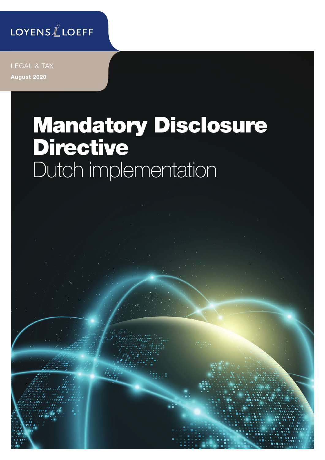### LOYENSLLOEFF

LEGAL & TAX August 2020

# Mandatory Disclosure Directive Dutch implementation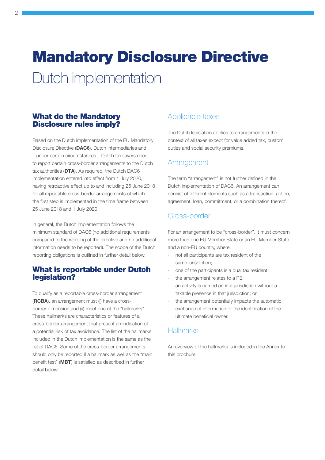## Mandatory Disclosure Directive

Dutch implementation

#### What do the Mandatory Disclosure rules imply?

Based on the Dutch implementation of the EU Mandatory Disclosure Directive (DAC6), Dutch intermediaries and – under certain circumstances – Dutch taxpayers need to report certain cross-border arrangements to the Dutch tax authorities (DTA). As required, the Dutch DAC6 implementation entered into effect from 1 July 2020, having retroactive effect up to and including 25 June 2018 for all reportable cross-border arrangements of which the first step is implemented in the time frame between 25 June 2018 and 1 July 2020.

In general, the Dutch implementation follows the minimum standard of DAC6 (no additional requirements compared to the wording of the directive and no additional information needs to be reported). The scope of the Dutch reporting obligations is outlined in further detail below.

#### What is reportable under Dutch legislation?

To qualify as a reportable cross-border arrangement (RCBA), an arrangement must (i) have a crossborder dimension and (ii) meet one of the "hallmarks". These hallmarks are characteristics or features of a cross-border arrangement that present an indication of a potential risk of tax avoidance. The list of the hallmarks included in the Dutch implementation is the same as the list of DAC6. Some of the cross-border arrangements should only be reported if a hallmark as well as the "main benefit test" (MBT) is satisfied as described in further detail below.

#### Applicable taxes

The Dutch legislation applies to arrangements in the context of all taxes except for value added tax, custom duties and social security premiums.

#### Arrangement

The term "arrangement" is not further defined in the Dutch implementation of DAC6. An arrangement can consist of different elements such as a transaction, action, agreement, loan, commitment, or a combination thereof.

#### Cross-border

For an arrangement to be "cross-border", it must concern more than one EU Member State or an EU Member State and a non-EU country, where:

- not all participants are tax resident of the same jurisdiction;
- one of the participants is a dual tax resident;
- the arrangement relates to a PE;
- an activity is carried on in a jurisdiction without a taxable presence in that jurisdiction; or
- the arrangement potentially impacts the automatic exchange of information or the identification of the ultimate beneficial owner.

#### **Hallmarks**

An overview of the hallmarks is included in the Annex to this brochure.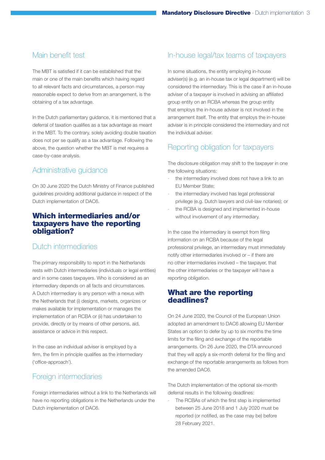#### Main benefit test

The MBT is satisfied if it can be established that the main or one of the main benefits which having regard to all relevant facts and circumstances, a person may reasonable expect to derive from an arrangement, is the obtaining of a tax advantage.

In the Dutch parliamentary guidance, it is mentioned that a deferral of taxation qualifies as a tax advantage as meant in the MBT. To the contrary, solely avoiding double taxation does not per se qualify as a tax advantage. Following the above, the question whether the MBT is met requires a case-by-case analysis.

#### Administrative guidance

On 30 June 2020 the Dutch Ministry of Finance published guidelines providing additional guidance in respect of the Dutch implementation of DAC6.

#### Which intermediaries and/or taxpayers have the reporting obligation?

#### Dutch intermediaries

The primary responsibility to report in the Netherlands rests with Dutch intermediaries (individuals or legal entities) and in some cases taxpayers. Who is considered as an intermediary depends on all facts and circumstances. A Dutch intermediary is any person with a nexus with the Netherlands that (i) designs, markets, organizes or makes available for implementation or manages the implementation of an RCBA or (ii) has undertaken to provide, directly or by means of other persons, aid, assistance or advice in this respect.

In the case an individual adviser is employed by a firm, the firm in principle qualifies as the intermediary ('office-approach').

#### Foreign intermediaries

Foreign intermediaries without a link to the Netherlands will have no reporting obligations in the Netherlands under the Dutch implementation of DAC6.

#### In-house legal/tax teams of taxpayers

In some situations, the entity employing in-house adviser(s) (e.g. an in-house tax or legal department) will be considered the intermediary. This is the case if an in-house adviser of a taxpayer is involved in advising an affiliated group entity on an RCBA whereas the group entity that employs the in-house adviser is not involved in the arrangement itself. The entity that employs the in-house adviser is in principle considered the intermediary and not the individual adviser.

#### Reporting obligation for taxpayers

The disclosure obligation may shift to the taxpayer in one the following situations:

- the intermediary involved does not have a link to an EU Member State;
- the intermediary involved has legal professional privilege (e.g. Dutch lawyers and civil-law notaries); or
- the RCBA is designed and implemented in-house without involvement of any intermediary.

In the case the intermediary is exempt from filing information on an RCBA because of the legal professional privilege, an intermediary must immediately notify other intermediaries involved or – if there are no other intermediaries involved – the taxpayer, that the other intermediaries or the taxpayer will have a reporting obligation.

#### What are the reporting deadlines?

On 24 June 2020, the Council of the European Union adopted an amendment to DAC6 allowing EU Member States an option to defer by up to six months the time limits for the filing and exchange of the reportable arrangements. On 26 June 2020, the DTA announced that they will apply a six-month deferral for the filing and exchange of the reportable arrangements as follows from the amended DAC6.

The Dutch implementation of the optional six-month deferral results in the following deadlines:

The RCBAs of which the first step is implemented between 25 June 2018 and 1 July 2020 must be reported (or notified, as the case may be) before 28 February 2021.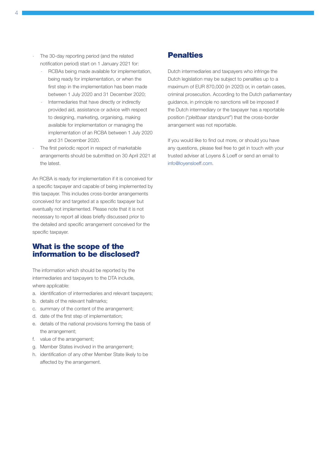- The 30-day reporting period (and the related notification period) start on 1 January 2021 for:
	- RCBAs being made available for implementation, being ready for implementation, or when the first step in the implementation has been made between 1 July 2020 and 31 December 2020;
	- Intermediaries that have directly or indirectly provided aid, assistance or advice with respect to designing, marketing, organising, making available for implementation or managing the implementation of an RCBA between 1 July 2020 and 31 December 2020.
- The first periodic report in respect of marketable arrangements should be submitted on 30 April 2021 at the latest.

An RCBA is ready for implementation if it is conceived for a specific taxpayer and capable of being implemented by this taxpayer. This includes cross-border arrangements conceived for and targeted at a specific taxpayer but eventually not implemented. Please note that it is not necessary to report all ideas briefly discussed prior to the detailed and specific arrangement conceived for the specific taxpayer.

#### What is the scope of the information to be disclosed?

The information which should be reported by the intermediaries and taxpayers to the DTA include, where applicable:

- a. identification of intermediaries and relevant taxpayers;
- b. details of the relevant hallmarks;
- c. summary of the content of the arrangement;
- d. date of the first step of implementation;
- e. details of the national provisions forming the basis of the arrangement;
- f. value of the arrangement;
- g. Member States involved in the arrangement;
- h. identification of any other Member State likely to be affected by the arrangement.

#### **Penalties**

Dutch intermediaries and taxpayers who infringe the Dutch legislation may be subject to penalties up to a maximum of EUR 870,000 (in 2020) or, in certain cases, criminal prosecution. According to the Dutch parliamentary guidance, in principle no sanctions will be imposed if the Dutch intermediary or the taxpayer has a reportable position ("*pleitbaar standpunt*") that the cross-border arrangement was not reportable.

If you would like to find out more, or should you have any questions, please feel free to get in touch with your trusted adviser at Loyens & Loeff or send an email to [info@loyensloeff.com.](mailto:info@loyensloeff.com)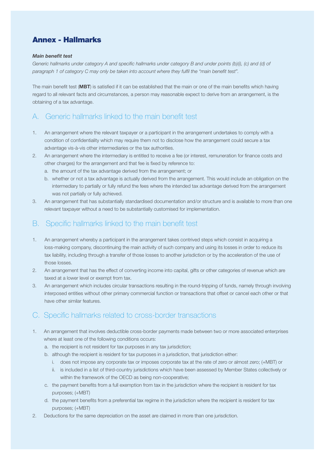#### Annex - Hallmarks

#### *Main benefit test*

Generic hallmarks under category A and specific hallmarks under category B and under points (b)(i), (c) and (d) of *paragraph 1 of category C may only be taken into account where they fulfil the "main benefit test".*

The main benefit test (MBT) is satisfied if it can be established that the main or one of the main benefits which having regard to all relevant facts and circumstances, a person may reasonable expect to derive from an arrangement, is the obtaining of a tax advantage.

#### A. Generic hallmarks linked to the main benefit test

- 1. An arrangement where the relevant taxpayer or a participant in the arrangement undertakes to comply with a condition of confidentiality which may require them not to disclose how the arrangement could secure a tax advantage vis-à-vis other intermediaries or the tax authorities.
- 2. An arrangement where the intermediary is entitled to receive a fee (or interest, remuneration for finance costs and other charges) for the arrangement and that fee is fixed by reference to:
	- a. the amount of the tax advantage derived from the arrangement; or
	- b. whether or not a tax advantage is actually derived from the arrangement. This would include an obligation on the intermediary to partially or fully refund the fees where the intended tax advantage derived from the arrangement was not partially or fully achieved.
- 3. An arrangement that has substantially standardised documentation and/or structure and is available to more than one relevant taxpayer without a need to be substantially customised for implementation.

#### B. Specific hallmarks linked to the main benefit test

- 1. An arrangement whereby a participant in the arrangement takes contrived steps which consist in acquiring a loss-making company, discontinuing the main activity of such company and using its losses in order to reduce its tax liability, including through a transfer of those losses to another jurisdiction or by the acceleration of the use of those losses.
- 2. An arrangement that has the effect of converting income into capital, gifts or other categories of revenue which are taxed at a lower level or exempt from tax.
- 3. An arrangement which includes circular transactions resulting in the round-tripping of funds, namely through involving interposed entities without other primary commercial function or transactions that offset or cancel each other or that have other similar features.

#### C. Specific hallmarks related to cross-border transactions

- 1. An arrangement that involves deductible cross-border payments made between two or more associated enterprises where at least one of the following conditions occurs:
	- a. the recipient is not resident for tax purposes in any tax jurisdiction;
	- b. although the recipient is resident for tax purposes in a jurisdiction, that jurisdiction either:
		- i. does not impose any corporate tax or imposes corporate tax at the rate of zero or almost zero; (+MBT) or
		- ii. is included in a list of third-country jurisdictions which have been assessed by Member States collectively or within the framework of the OECD as being non-cooperative;
	- c. the payment benefits from a full exemption from tax in the jurisdiction where the recipient is resident for tax purposes; (+MBT)
	- d. the payment benefits from a preferential tax regime in the jurisdiction where the recipient is resident for tax purposes; (+MBT)
- 2. Deductions for the same depreciation on the asset are claimed in more than one jurisdiction.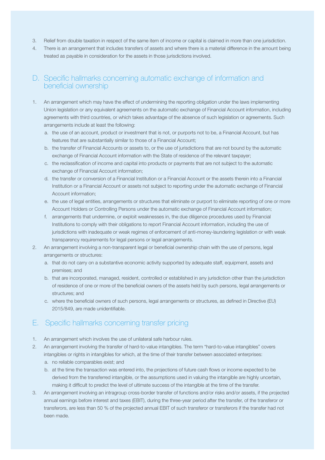- 3. Relief from double taxation in respect of the same item of income or capital is claimed in more than one jurisdiction.
- 4. There is an arrangement that includes transfers of assets and where there is a material difference in the amount being treated as payable in consideration for the assets in those jurisdictions involved.

#### D. Specific hallmarks concerning automatic exchange of information and beneficial ownership

- 1. An arrangement which may have the effect of undermining the reporting obligation under the laws implementing Union legislation or any equivalent agreements on the automatic exchange of Financial Account information, including agreements with third countries, or which takes advantage of the absence of such legislation or agreements. Such arrangements include at least the following:
	- a. the use of an account, product or investment that is not, or purports not to be, a Financial Account, but has features that are substantially similar to those of a Financial Account;
	- b. the transfer of Financial Accounts or assets to, or the use of jurisdictions that are not bound by the automatic exchange of Financial Account information with the State of residence of the relevant taxpayer;
	- c. the reclassification of income and capital into products or payments that are not subject to the automatic exchange of Financial Account information;
	- d. the transfer or conversion of a Financial Institution or a Financial Account or the assets therein into a Financial Institution or a Financial Account or assets not subject to reporting under the automatic exchange of Financial Account information;
	- e. the use of legal entities, arrangements or structures that eliminate or purport to eliminate reporting of one or more Account Holders or Controlling Persons under the automatic exchange of Financial Account information;
	- f. arrangements that undermine, or exploit weaknesses in, the due diligence procedures used by Financial Institutions to comply with their obligations to report Financial Account information, including the use of jurisdictions with inadequate or weak regimes of enforcement of anti-money-laundering legislation or with weak transparency requirements for legal persons or legal arrangements.
- 2. An arrangement involving a non-transparent legal or beneficial ownership chain with the use of persons, legal arrangements or structures:
	- a. that do not carry on a substantive economic activity supported by adequate staff, equipment, assets and premises; and
	- b. that are incorporated, managed, resident, controlled or established in any jurisdiction other than the jurisdiction of residence of one or more of the beneficial owners of the assets held by such persons, legal arrangements or structures; and
	- c. where the beneficial owners of such persons, legal arrangements or structures, as defined in Directive (EU) 2015/849, are made unidentifiable.

#### E. Specific hallmarks concerning transfer pricing

- 1. An arrangement which involves the use of unilateral safe harbour rules.
- 2. An arrangement involving the transfer of hard-to-value intangibles. The term "hard-to-value intangibles" covers intangibles or rights in intangibles for which, at the time of their transfer between associated enterprises: a. no reliable comparables exist; and
	- b. at the time the transaction was entered into, the projections of future cash flows or income expected to be derived from the transferred intangible, or the assumptions used in valuing the intangible are highly uncertain, making it difficult to predict the level of ultimate success of the intangible at the time of the transfer.
- 3. An arrangement involving an intragroup cross-border transfer of functions and/or risks and/or assets, if the projected annual earnings before interest and taxes (EBIT), during the three-year period after the transfer, of the transferor or transferors, are less than 50 % of the projected annual EBIT of such transferor or transferors if the transfer had not been made.